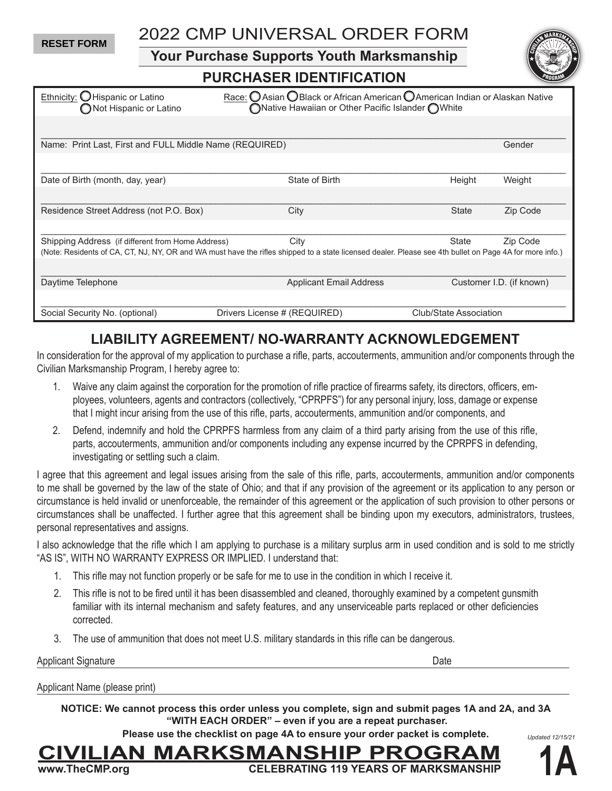**RESET FORM**

## 2022 CMP UNIVERSAL ORDER FORM

**Your Purchase Supports Youth Marksmanship**



## **PURCHASER IDENTIFICATION**

| Ethnicity: OHispanic or Latino<br>Not Hispanic or Latino | Race: O Asian O Black or African American O American Indian or Alaskan Native<br>○ Native Hawaiian or Other Pacific Islander ○ White                    |                        |                          |
|----------------------------------------------------------|---------------------------------------------------------------------------------------------------------------------------------------------------------|------------------------|--------------------------|
|                                                          |                                                                                                                                                         |                        |                          |
| Name: Print Last, First and FULL Middle Name (REQUIRED)  |                                                                                                                                                         |                        | Gender                   |
|                                                          |                                                                                                                                                         |                        |                          |
| Date of Birth (month, day, year)                         | State of Birth                                                                                                                                          | Height                 | Weight                   |
|                                                          |                                                                                                                                                         |                        |                          |
| Residence Street Address (not P.O. Box)                  | City                                                                                                                                                    | <b>State</b>           | Zip Code                 |
|                                                          |                                                                                                                                                         |                        |                          |
| Shipping Address (if different from Home Address)        | City                                                                                                                                                    | State                  | Zip Code                 |
|                                                          | (Note: Residents of CA, CT, NJ, NY, OR and WA must have the rifles shipped to a state licensed dealer. Please see 4th bullet on Page 4A for more info.) |                        |                          |
|                                                          |                                                                                                                                                         |                        |                          |
| Daytime Telephone                                        | <b>Applicant Email Address</b>                                                                                                                          |                        | Customer I.D. (if known) |
|                                                          |                                                                                                                                                         |                        |                          |
| Social Security No. (optional)                           | Drivers License # (REQUIRED)                                                                                                                            | Club/State Association |                          |

## **LIABILITY AGREEMENT/ NO-WARRANTY ACKNOWLEDGEMENT**

In consideration for the approval of my application to purchase a rifle, parts, accouterments, ammunition and/or components through the Civilian Marksmanship Program, I hereby agree to:

- 1. Waive any claim against the corporation for the promotion of rifle practice of firearms safety, its directors, officers, employees, volunteers, agents and contractors (collectively, "CPRPFS") for any personal injury, loss, damage or expense that I might incur arising from the use of this rifle, parts, accouterments, ammunition and/or components, and
- 2. Defend, indemnify and hold the CPRPFS harmless from any claim of a third party arising from the use of this rifle, parts, accouterments, ammunition and/or components including any expense incurred by the CPRPFS in defending, investigating or settling such a claim.

I agree that this agreement and legal issues arising from the sale of this rifle, parts, accouterments, ammunition and/or components to me shall be governed by the law of the state of Ohio; and that if any provision of the agreement or its application to any person or circumstance is held invalid or unenforceable, the remainder of this agreement or the application of such provision to other persons or circumstances shall be unaffected. I further agree that this agreement shall be binding upon my executors, administrators, trustees, personal representatives and assigns.

I also acknowledge that the rifle which I am applying to purchase is a military surplus arm in used condition and is sold to me strictly "AS IS", WITH NO WARRANTY EXPRESS OR IMPLIED. I understand that:

- 1. This rifle may not function properly or be safe for me to use in the condition in which I receive it.
- 2. This rifle is not to be fired until it has been disassembled and cleaned, thoroughly examined by a competent gunsmith familiar with its internal mechanism and safety features, and any unserviceable parts replaced or other deficiencies corrected.
- 3. The use of ammunition that does not meet U.S. military standards in this rifle can be dangerous.

Applicant Signature **Date** 

Applicant Name (please print)

**NOTICE: We cannot process this order unless you complete, sign and submit pages 1A and 2A, and 3A "WITH EACH ORDER" – even if you are a repeat purchaser.** 

**Please use the checklist on page 4A to ensure your order packet is complete.**

# **CIVILIAN MARKSMANSHIP PROGRAM www.TheCMP.org CELEBRATING 119 YEARS OF MARKSMANSHIP 1A**



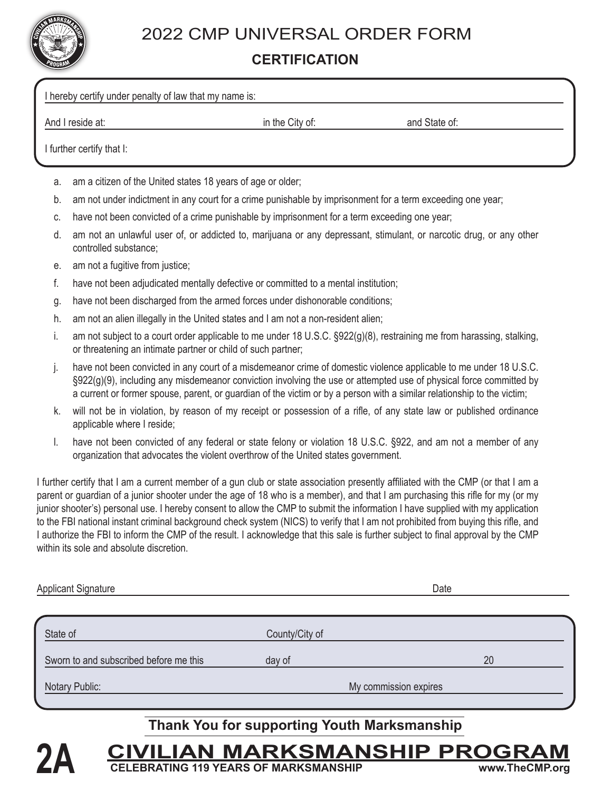

# 2022 CMP UNIVERSAL ORDER FORM

## **CERTIFICATION**

| I hereby certify under penalty of law that my name is: |                 |               |  |  |  |
|--------------------------------------------------------|-----------------|---------------|--|--|--|
| And I reside at:                                       | in the City of: | and State of: |  |  |  |
| I further certify that I:                              |                 |               |  |  |  |

- a. am a citizen of the United states 18 years of age or older;
- b. am not under indictment in any court for a crime punishable by imprisonment for a term exceeding one year;
- c. have not been convicted of a crime punishable by imprisonment for a term exceeding one year;
- d. am not an unlawful user of, or addicted to, marijuana or any depressant, stimulant, or narcotic drug, or any other controlled substance;
- e. am not a fugitive from justice;
- f. have not been adjudicated mentally defective or committed to a mental institution;
- g. have not been discharged from the armed forces under dishonorable conditions;
- h. am not an alien illegally in the United states and I am not a non-resident alien;
- i. am not subject to a court order applicable to me under 18 U.S.C. §922(g)(8), restraining me from harassing, stalking, or threatening an intimate partner or child of such partner;
- j. have not been convicted in any court of a misdemeanor crime of domestic violence applicable to me under 18 U.S.C. §922(g)(9), including any misdemeanor conviction involving the use or attempted use of physical force committed by a current or former spouse, parent, or guardian of the victim or by a person with a similar relationship to the victim;
- k. will not be in violation, by reason of my receipt or possession of a rifle, of any state law or published ordinance applicable where I reside;
- l. have not been convicted of any federal or state felony or violation 18 U.S.C. §922, and am not a member of any organization that advocates the violent overthrow of the United states government.

I further certify that I am a current member of a gun club or state association presently affiliated with the CMP (or that I am a parent or guardian of a junior shooter under the age of 18 who is a member), and that I am purchasing this rifle for my (or my junior shooter's) personal use. I hereby consent to allow the CMP to submit the information I have supplied with my application to the FBI national instant criminal background check system (NICS) to verify that I am not prohibited from buying this rifle, and I authorize the FBI to inform the CMP of the result. I acknowledge that this sale is further subject to final approval by the CMP within its sole and absolute discretion

| <b>Applicant Signature</b>             |                | Date                  |
|----------------------------------------|----------------|-----------------------|
| State of                               | County/City of |                       |
| Sworn to and subscribed before me this | day of         | 20                    |
| Notary Public:                         |                | My commission expires |

## **Thank You for supporting Youth Marksmanship**

**24 CIVILIAN MARKSMANSHIP PROGRAM 2A** CELEBRATING 119 YEARS OF MARKSMANSHIP WWW.TheCMP.org **24 CIVILIAN MARKSMANSHIP PROGRAM CELEBRATING 119 YEARS OF MARKSMANSHIP www.TheCMP.org**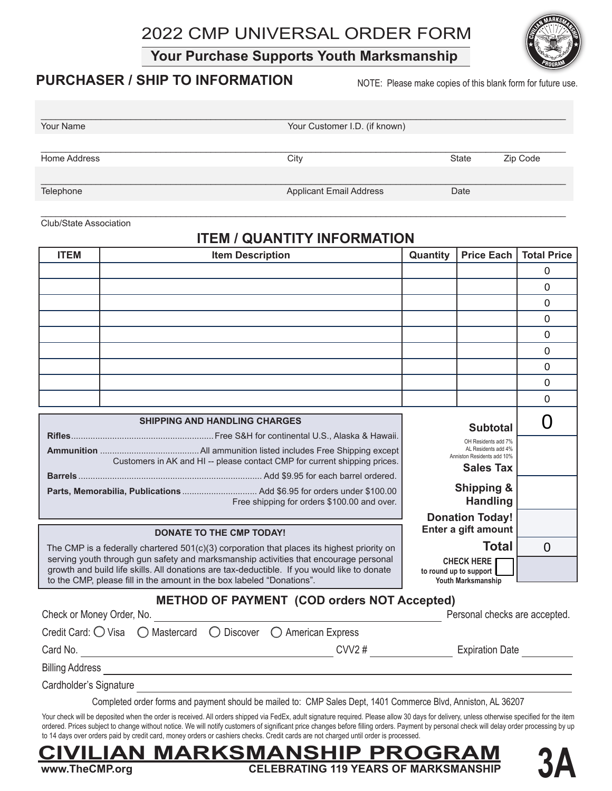# 2022 CMP UNIVERSAL ORDER FORM

## **Your Purchase Supports Youth Marksmanship**



## **PURCHASER / SHIP TO INFORMATION**

NOTE: Please make copies of this blank form for future use.

| Your Name    | Your Customer I.D. (if known)  |       |          |
|--------------|--------------------------------|-------|----------|
| Home Address | City                           | State | Zip Code |
| Telephone    | <b>Applicant Email Address</b> | Date  |          |

\_\_\_\_\_\_\_\_\_\_\_\_\_\_\_\_\_\_\_\_\_\_\_\_\_\_\_\_\_\_\_\_\_\_\_\_\_\_\_\_\_\_\_\_\_\_\_\_\_\_\_\_\_\_\_\_\_\_\_\_\_\_\_\_\_\_\_\_\_\_\_\_\_\_\_\_\_\_\_\_\_\_\_\_\_\_\_\_\_\_\_\_\_\_\_\_\_\_\_\_\_\_\_\_\_ Club/State Association

## **ITEM / QUANTITY INFORMATION**

| <b>ITEM</b>                                                                                                                                                                                                                                                                                                                       | <b>Item Description</b>                                                                      | Quantity | <b>Price Each</b>                                                     | <b>Total Price</b> |
|-----------------------------------------------------------------------------------------------------------------------------------------------------------------------------------------------------------------------------------------------------------------------------------------------------------------------------------|----------------------------------------------------------------------------------------------|----------|-----------------------------------------------------------------------|--------------------|
|                                                                                                                                                                                                                                                                                                                                   |                                                                                              |          |                                                                       | 0                  |
|                                                                                                                                                                                                                                                                                                                                   |                                                                                              |          |                                                                       | 0                  |
|                                                                                                                                                                                                                                                                                                                                   |                                                                                              |          |                                                                       | 0                  |
|                                                                                                                                                                                                                                                                                                                                   |                                                                                              |          |                                                                       | 0                  |
|                                                                                                                                                                                                                                                                                                                                   |                                                                                              |          |                                                                       | 0                  |
|                                                                                                                                                                                                                                                                                                                                   |                                                                                              |          |                                                                       | 0                  |
|                                                                                                                                                                                                                                                                                                                                   |                                                                                              |          |                                                                       | 0                  |
|                                                                                                                                                                                                                                                                                                                                   |                                                                                              |          |                                                                       | 0                  |
|                                                                                                                                                                                                                                                                                                                                   |                                                                                              |          |                                                                       | 0                  |
|                                                                                                                                                                                                                                                                                                                                   | <b>SHIPPING AND HANDLING CHARGES</b>                                                         |          | <b>Subtotal</b>                                                       |                    |
|                                                                                                                                                                                                                                                                                                                                   |                                                                                              |          | OH Residents add 7%                                                   |                    |
|                                                                                                                                                                                                                                                                                                                                   | Customers in AK and HI -- please contact CMP for current shipping prices.                    |          | AL Residents add 4%<br>Anniston Residents add 10%<br><b>Sales Tax</b> |                    |
|                                                                                                                                                                                                                                                                                                                                   |                                                                                              |          |                                                                       |                    |
|                                                                                                                                                                                                                                                                                                                                   | Free shipping for orders \$100.00 and over.                                                  |          | <b>Shipping &amp;</b><br><b>Handling</b>                              |                    |
|                                                                                                                                                                                                                                                                                                                                   |                                                                                              |          | <b>Donation Today!</b>                                                |                    |
|                                                                                                                                                                                                                                                                                                                                   | <b>DONATE TO THE CMP TODAY!</b>                                                              |          | Enter a gift amount                                                   |                    |
|                                                                                                                                                                                                                                                                                                                                   | The CMP is a federally chartered $501(c)(3)$ corporation that places its highest priority on |          | <b>Total</b>                                                          | $\overline{0}$     |
| serving youth through gun safety and marksmanship activities that encourage personal<br><b>CHECK HERE</b><br>growth and build life skills. All donations are tax-deductible. If you would like to donate<br>to round up to support<br>to the CMP, please fill in the amount in the box labeled "Donations".<br>Youth Marksmanship |                                                                                              |          |                                                                       |                    |
| <b>METHOD OF PAYMENT (COD orders NOT Accepted)</b>                                                                                                                                                                                                                                                                                |                                                                                              |          |                                                                       |                    |

| Check or Money Order, No. |  |  |                                                                | Personal checks are accepted. |  |
|---------------------------|--|--|----------------------------------------------------------------|-------------------------------|--|
|                           |  |  | Credit Card: ◯ Visa ◯ Mastercard ◯ Discover ◯ American Express |                               |  |
| Card No.                  |  |  | CVV2#                                                          | <b>Expiration Date</b>        |  |
| <b>Billing Address</b>    |  |  |                                                                |                               |  |
| Cardholder's Signature    |  |  |                                                                |                               |  |

Completed order forms and payment should be mailed to: CMP Sales Dept, 1401 Commerce Blvd, Anniston, AL 36207

Your check will be deposited when the order is received. All orders shipped via FedEx, adult signature required. Please allow 30 days for delivery, unless otherwise specified for the item ordered. Prices subject to change without notice. We will notify customers of significant price changes before filling orders. Payment by personal check will delay order processing by up to 14 days over orders paid by credit card, money orders or cashiers checks. Credit cards are not charged until order is processed.



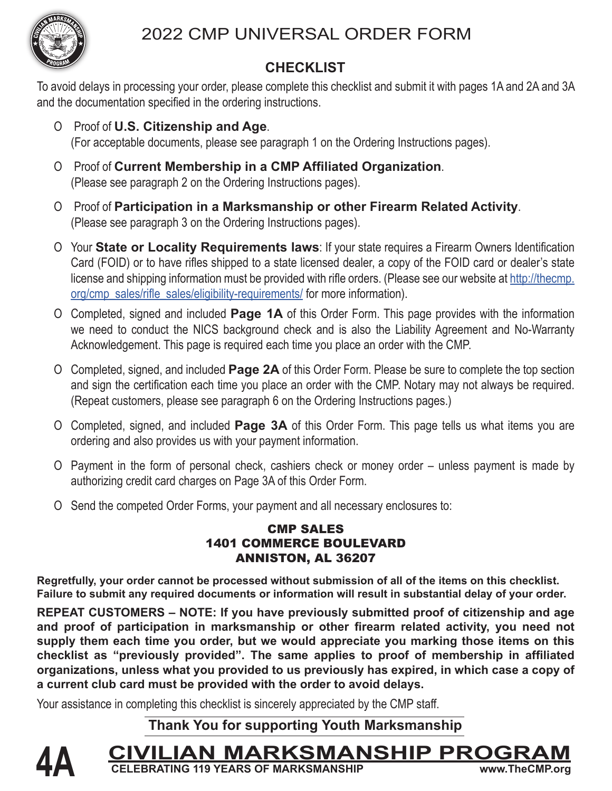

# 2022 CMP UNIVERSAL ORDER FORM

## **CHECKLIST**

To avoid delays in processing your order, please complete this checklist and submit it with pages 1A and 2A and 3A and the documentation specified in the ordering instructions.

- О Proof of **U.S. Citizenship and Age**. (For acceptable documents, please see paragraph 1 on the Ordering Instructions pages).
- О Proof of **Current Membership in a CMP Affiliated Organization**. (Please see paragraph 2 on the Ordering Instructions pages).
- О Proof of **Participation in a Marksmanship or other Firearm Related Activity**. (Please see paragraph 3 on the Ordering Instructions pages).
- О Your **State or Locality Requirements laws**: If your state requires a Firearm Owners Identification Card (FOID) or to have rifles shipped to a state licensed dealer, a copy of the FOID card or dealer's state license and shipping information must be provided with rifle orders. (Please see our website at http://thecmp. org/cmp\_sales/rifle\_sales/eligibility-requirements/ for more information).
- О Completed, signed and included **Page 1A** of this Order Form. This page provides with the information we need to conduct the NICS background check and is also the Liability Agreement and No-Warranty Acknowledgement. This page is required each time you place an order with the CMP.
- О Completed, signed, and included **Page 2A** of this Order Form. Please be sure to complete the top section and sign the certification each time you place an order with the CMP. Notary may not always be required. (Repeat customers, please see paragraph 6 on the Ordering Instructions pages.)
- О Completed, signed, and included **Page 3A** of this Order Form. This page tells us what items you are ordering and also provides us with your payment information.
- О Payment in the form of personal check, cashiers check or money order unless payment is made by authorizing credit card charges on Page 3A of this Order Form.
- О Send the competed Order Forms, your payment and all necessary enclosures to:

### CMP SALES 1401 COMMERCE BOULEVARD ANNISTON, AL 36207

**Regretfully, your order cannot be processed without submission of all of the items on this checklist. Failure to submit any required documents or information will result in substantial delay of your order.**

**REPEAT CUSTOMERS – NOTE: If you have previously submitted proof of citizenship and age and proof of participation in marksmanship or other firearm related activity, you need not supply them each time you order, but we would appreciate you marking those items on this checklist as "previously provided". The same applies to proof of membership in affiliated organizations, unless what you provided to us previously has expired, in which case a copy of a current club card must be provided with the order to avoid delays.** 

Your assistance in completing this checklist is sincerely appreciated by the CMP staff.

## **Thank You for supporting Youth Marksmanship**



 **CIVILIAN MARKSMANSHIP PROGRAM CELEBRATING 119 YEARS OF MARKSMANSHIP**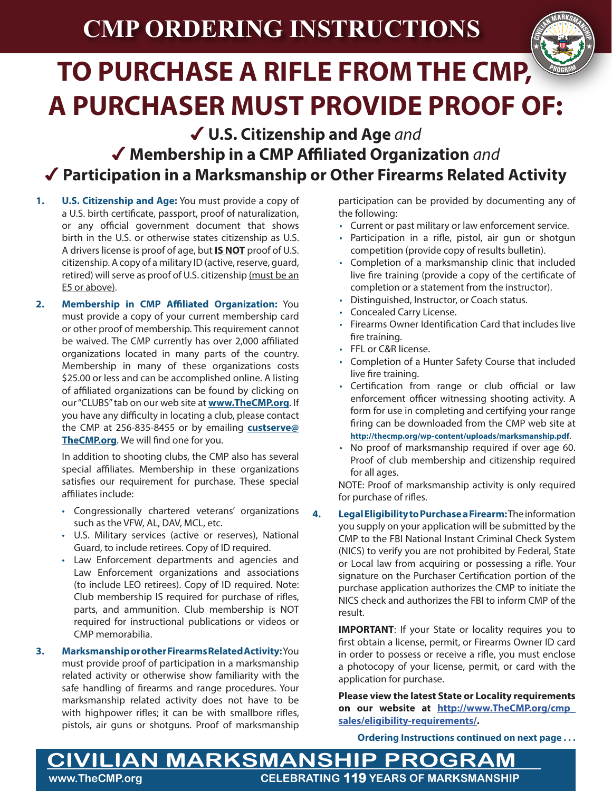# **CMP ORDERING INSTRUCTIONS**



# **TO PURCHASE A RIFLE FROM THE CMP, A PURCHASER MUST PROVIDE PROOF OF:**

✔ **U.S. Citizenship and Age** *and* ✔ **Membership in a CMP Affiliated Organization** *and* ✔ **Participation in a Marksmanship or Other Firearms Related Activity**

- **1. U.S. Citizenship and Age:** You must provide a copy of a U.S. birth certificate, passport, proof of naturalization, or any official government document that shows birth in the U.S. or otherwise states citizenship as U.S. A drivers license is proof of age, but **IS NOT** proof of U.S. citizenship. A copy of a military ID (active, reserve, guard, retired) will serve as proof of U.S. citizenship (must be an E5 or above).
- **2. Membership in CMP Affiliated Organization:** You must provide a copy of your current membership card or other proof of membership. This requirement cannot be waived. The CMP currently has over 2,000 affiliated organizations located in many parts of the country. Membership in many of these organizations costs \$25.00 or less and can be accomplished online. A listing of affiliated organizations can be found by clicking on our "CLUBS" tab on our web site at **www.TheCMP.org**. If you have any difficulty in locating a club, please contact the CMP at 256-835-8455 or by emailing **custserve@ TheCMP.org**. We will find one for you.

In addition to shooting clubs, the CMP also has several special affiliates. Membership in these organizations satisfies our requirement for purchase. These special affiliates include:

- Congressionally chartered veterans' organizations such as the VFW, AL, DAV, MCL, etc.
- U.S. Military services (active or reserves), National Guard, to include retirees. Copy of ID required.
- Law Enforcement departments and agencies and Law Enforcement organizations and associations (to include LEO retirees). Copy of ID required. Note: Club membership IS required for purchase of rifles, parts, and ammunition. Club membership is NOT required for instructional publications or videos or CMP memorabilia.
- **3. Marksmanship or other Firearms Related Activity:** You must provide proof of participation in a marksmanship related activity or otherwise show familiarity with the safe handling of firearms and range procedures. Your marksmanship related activity does not have to be with highpower rifles; it can be with smallbore rifles, pistols, air guns or shotguns. Proof of marksmanship

participation can be provided by documenting any of the following:

- Current or past military or law enforcement service.
- Participation in a rifle, pistol, air gun or shotgun competition (provide copy of results bulletin).
- Completion of a marksmanship clinic that included live fire training (provide a copy of the certificate of completion or a statement from the instructor).
- Distinguished, Instructor, or Coach status.
- Concealed Carry License.
- Firearms Owner Identification Card that includes live fire training.
- FFL or C&R license.
- Completion of a Hunter Safety Course that included live fire training.
- Certification from range or club official or law enforcement officer witnessing shooting activity. A form for use in completing and certifying your range firing can be downloaded from the CMP web site at **http://thecmp.org/wp-content/uploads/marksmanship.pdf**.
- No proof of marksmanship required if over age 60. Proof of club membership and citizenship required for all ages.

NOTE: Proof of marksmanship activity is only required for purchase of rifles.

**4. Legal Eligibility to Purchase a Firearm:** The information you supply on your application will be submitted by the CMP to the FBI National Instant Criminal Check System (NICS) to verify you are not prohibited by Federal, State or Local law from acquiring or possessing a rifle. Your signature on the Purchaser Certification portion of the purchase application authorizes the CMP to initiate the NICS check and authorizes the FBI to inform CMP of the result.

**IMPORTANT:** If your State or locality requires you to first obtain a license, permit, or Firearms Owner ID card in order to possess or receive a rifle, you must enclose a photocopy of your license, permit, or card with the application for purchase.

**Please view the latest State or Locality requirements on our website at http://www.TheCMP.org/cmp\_ sales/eligibility-requirements/.**

**Ordering Instructions continued on next page . . .**

<u>CIVILIAN MARKSMANSHIP PROGR</u>  **www.TheCMP.org CELEBRATING 119 YEARS OF MARKSMANSHIP**